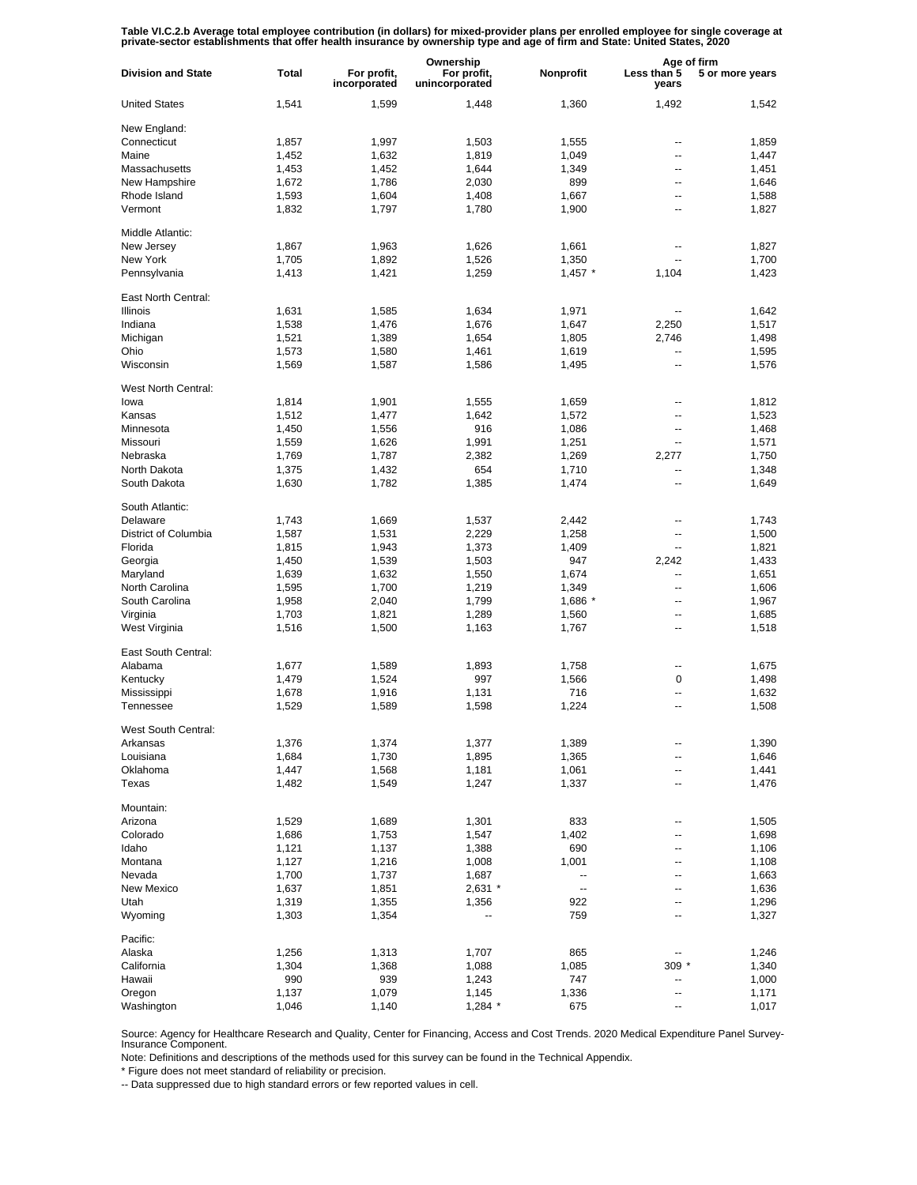Table VI.C.2.b Average total employee contribution (in dollars) for mixed-provider plans per enrolled employee for single coverage at<br>private-sector establishments that offer health insurance by ownership type and age of f

|                           |                | Ownership                   |                               |                          | Age of firm              |                 |
|---------------------------|----------------|-----------------------------|-------------------------------|--------------------------|--------------------------|-----------------|
| <b>Division and State</b> | Total          | For profit,<br>incorporated | For profit,<br>unincorporated | Nonprofit                | Less than 5<br>years     | 5 or more years |
| <b>United States</b>      | 1,541          | 1,599                       | 1,448                         | 1,360                    | 1,492                    | 1,542           |
| New England:              |                |                             |                               |                          |                          |                 |
| Connecticut               | 1,857          | 1,997                       | 1,503                         | 1,555                    | --                       | 1,859           |
| Maine                     | 1,452          | 1,632                       | 1,819                         | 1,049                    | ۰.                       | 1,447           |
| Massachusetts             | 1,453          | 1,452                       | 1,644                         | 1,349                    | --                       | 1,451           |
| New Hampshire             | 1,672          | 1,786                       | 2,030                         | 899                      | --                       | 1,646           |
| Rhode Island              | 1,593          | 1,604                       | 1,408                         | 1,667                    | --                       | 1,588           |
| Vermont                   | 1,832          | 1,797                       | 1,780                         | 1,900                    | ۰.                       | 1,827           |
| Middle Atlantic:          |                |                             |                               |                          |                          |                 |
| New Jersey                | 1,867          | 1,963                       | 1,626                         | 1,661                    | $\overline{a}$           | 1,827           |
| New York                  | 1,705          | 1,892                       | 1,526                         | 1,350                    | $\overline{\phantom{a}}$ | 1,700           |
| Pennsylvania              | 1,413          | 1,421                       | 1,259                         | $1,457$ *                | 1,104                    | 1,423           |
| East North Central:       |                |                             |                               |                          |                          |                 |
| <b>Illinois</b>           | 1,631          | 1,585                       | 1,634                         | 1,971                    |                          | 1,642           |
| Indiana                   | 1,538          | 1,476                       | 1,676                         | 1,647                    | 2,250                    | 1,517           |
| Michigan                  | 1,521          | 1,389                       | 1,654                         | 1,805                    | 2,746                    | 1,498           |
| Ohio                      | 1,573          | 1,580                       | 1,461                         | 1,619                    | --                       | 1,595           |
| Wisconsin                 | 1,569          | 1,587                       | 1,586                         | 1,495                    | --                       | 1,576           |
| West North Central:       |                |                             |                               |                          |                          |                 |
| lowa                      | 1,814          | 1,901                       | 1,555                         | 1,659                    | --                       | 1,812           |
| Kansas                    | 1,512          | 1,477                       | 1,642                         | 1,572                    | --                       | 1,523           |
| Minnesota                 | 1,450          | 1,556                       | 916                           | 1,086                    | --                       | 1,468           |
| Missouri                  | 1,559          | 1,626                       | 1,991                         | 1,251                    | --                       | 1,571           |
| Nebraska                  | 1,769          | 1,787                       | 2,382                         | 1,269                    | 2,277                    | 1,750           |
| North Dakota              | 1,375          | 1,432                       | 654                           | 1,710                    | --                       | 1,348           |
| South Dakota              | 1,630          | 1,782                       | 1,385                         | 1,474                    | --                       | 1,649           |
| South Atlantic:           |                |                             |                               |                          |                          |                 |
| Delaware                  | 1,743          | 1,669                       | 1,537                         | 2,442                    | --                       | 1,743           |
| District of Columbia      | 1,587          | 1,531                       | 2,229                         | 1,258                    | $\overline{a}$           | 1,500           |
| Florida                   | 1,815          | 1,943                       | 1,373                         | 1,409                    | $\overline{a}$           | 1,821           |
| Georgia                   | 1,450          | 1,539                       | 1,503                         | 947                      | 2,242                    | 1,433           |
| Maryland                  | 1,639          | 1,632                       | 1,550                         | 1,674                    | $\overline{a}$           | 1,651           |
| North Carolina            | 1,595          | 1,700                       | 1,219                         | 1,349                    | $\overline{a}$           | 1,606           |
| South Carolina            | 1,958          | 2,040                       | 1,799                         | 1,686 *                  | $\overline{a}$           | 1,967           |
| Virginia                  | 1,703          | 1,821                       | 1,289                         | 1,560                    | --                       | 1,685           |
| West Virginia             | 1,516          | 1,500                       | 1,163                         | 1,767                    | --                       | 1,518           |
| East South Central:       |                |                             |                               |                          |                          |                 |
| Alabama                   | 1,677          | 1,589                       | 1,893                         | 1,758                    | --                       | 1,675           |
| Kentucky                  | 1,479          | 1,524                       | 997                           | 1,566                    | 0                        | 1,498           |
| Mississippi               | 1,678          | 1,916                       | 1,131                         | 716                      | --                       | 1,632           |
| Tennessee                 | 1,529          | 1,589                       | 1,598                         | 1,224                    | --                       | 1,508           |
| West South Central:       |                |                             |                               |                          |                          |                 |
| Arkansas                  | 1,376          | 1,374                       | 1,377                         | 1,389                    |                          | 1,390           |
| Louisiana                 | 1,684          | 1,730                       | 1,895                         | 1,365                    | ۰.                       | 1,646           |
| Oklahoma<br>Texas         | 1,447<br>1,482 | 1,568<br>1,549              | 1,181<br>1,247                | 1,061<br>1,337           | --<br>--                 | 1,441<br>1,476  |
|                           |                |                             |                               |                          |                          |                 |
| Mountain:                 |                |                             |                               |                          |                          |                 |
| Arizona                   | 1,529          | 1,689                       | 1,301                         | 833                      | --                       | 1,505           |
| Colorado                  | 1,686          | 1,753                       | 1,547                         | 1,402                    | --                       | 1,698           |
| Idaho                     | 1,121          | 1,137                       | 1,388                         | 690                      | --                       | 1,106           |
| Montana                   | 1,127          | 1,216                       | 1,008                         | 1,001                    | --                       | 1,108           |
| Nevada                    | 1,700          | 1,737                       | 1,687                         | $\overline{\phantom{a}}$ | --                       | 1,663           |
| New Mexico                | 1,637          | 1,851                       | $2,631$ *                     | $\overline{\phantom{a}}$ | --                       | 1,636           |
| Utah                      | 1,319          | 1,355                       | 1,356                         | 922                      | --                       | 1,296           |
| Wyoming                   | 1,303          | 1,354                       | --                            | 759                      | --                       | 1,327           |
| Pacific:                  |                |                             |                               |                          |                          |                 |
| Alaska                    | 1,256          | 1,313                       | 1,707                         | 865                      |                          | 1,246           |
| California                | 1,304          | 1,368                       | 1,088                         | 1,085                    | $309 *$                  | 1,340           |
| Hawaii                    | 990            | 939                         | 1,243                         | 747                      | --                       | 1,000           |
| Oregon                    | 1,137          | 1,079                       | 1,145                         | 1,336                    | --                       | 1,171           |
| Washington                | 1,046          | 1,140                       | $1,284$ *                     | 675                      | ⊷                        | 1,017           |

Source: Agency for Healthcare Research and Quality, Center for Financing, Access and Cost Trends. 2020 Medical Expenditure Panel Survey-Insurance Component.

Note: Definitions and descriptions of the methods used for this survey can be found in the Technical Appendix.

\* Figure does not meet standard of reliability or precision.

-- Data suppressed due to high standard errors or few reported values in cell.